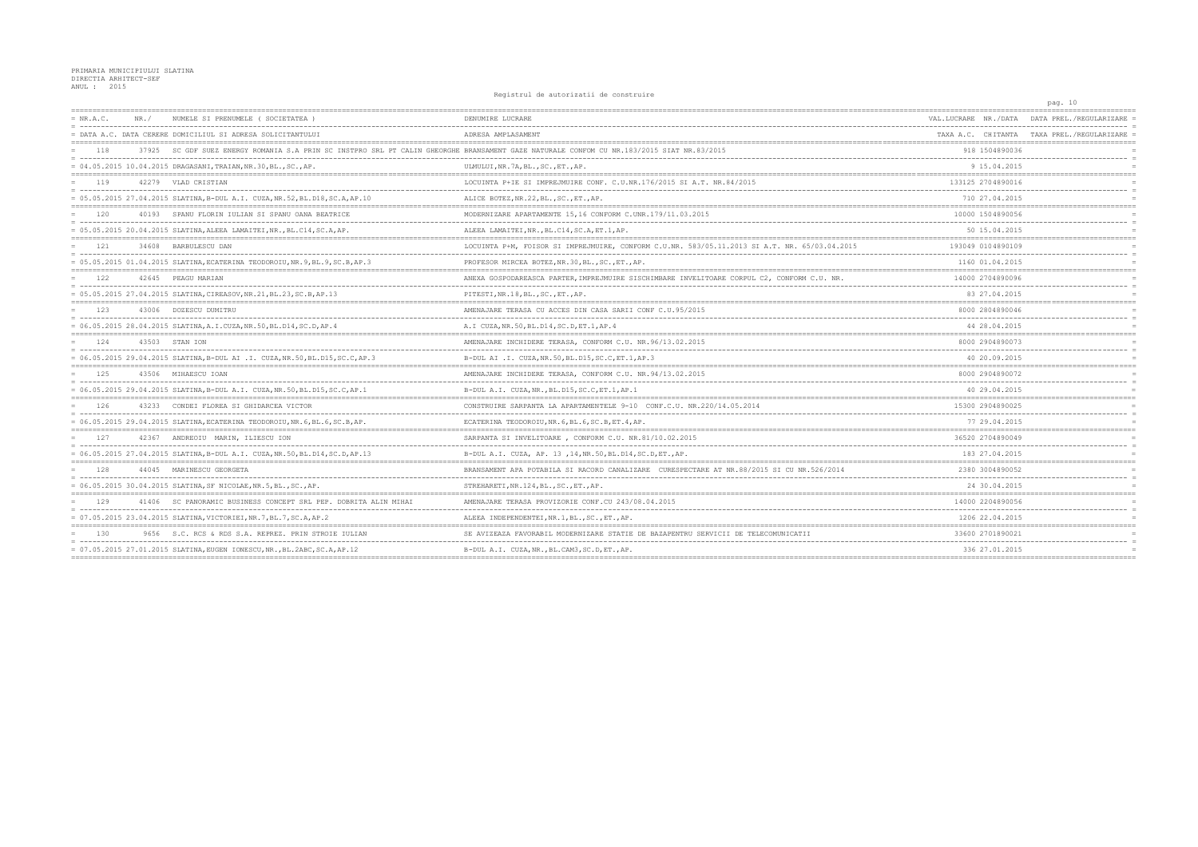Registrul de autorizatii de construire

|             |                                                                                                                                           |                                                                                               |                                                     | pag. 10                                    |
|-------------|-------------------------------------------------------------------------------------------------------------------------------------------|-----------------------------------------------------------------------------------------------|-----------------------------------------------------|--------------------------------------------|
| $= NR.A.C.$ | NUMELE SI PRENUMELE (SOCIETATEA                                                                                                           | DENUMIRE LUCRARE                                                                              | VAL.LUCRARE NR./DATA                                | DATA PREL / REGULARIZARE                   |
|             | = DATA A.C. DATA CERERE DOMICILIUL SI ADRESA SOLICITANTULUI                                                                               | ADRESA AMPLASAMENT                                                                            |                                                     | TAXA A.C. CHITANTA TAXA PREL./REGULARIZARE |
| 118         | 37925 SC GDF SUEZ ENERGY ROMANIA S.A PRIN SC INSTPRO SRL PT CALIN GHEORGHE BRANSAMENT GAZE NATURALE CONFOM CU NR.183/2015 SIAT NR.83/2015 |                                                                                               | 918 1504890036                                      |                                            |
|             | = 04.05.2015 10.04.2015 DRAGASANI, TRAIAN, NR.30, BL., SC., AP.                                                                           | ULMULUI, NR.7A, BL., SC., ET., AP.                                                            | 9 15.04.2015                                        |                                            |
| 119         | 42279 VLAD CRISTIAN                                                                                                                       | LOCUINTA P+IE SI IMPREJMUIRE CONF. C.U.NR.176/2015 SI A.T. NR.84/2015                         | 133125 2704890016                                   |                                            |
|             | = 05.05.2015 27.04.2015 SLATINA, B-DUL A.I. CUZA, NR.52, BL.D18, SC.A, AP.10                                                              | ALICE BOTEZ, NR. 22, BL., SC., ET., AP.                                                       | 710 27.04.2015                                      |                                            |
| 120         | 40193 SPANU FLORIN IULIAN SI SPANU OANA BEATRICE                                                                                          | MODERNIZARE APARTAMENTE 15,16 CONFORM C.UNR.179/11.03.2015                                    | 10000 1504890056                                    |                                            |
|             | = 05.05.2015 20.04.2015 SLATINA, ALEEA LAMAITEI, NR., BL.C14, SC.A, AP.                                                                   | ALEEA LAMAITEI, NR., BL.C14, SC.A, ET.1, AP.                                                  | 50 15.04.2015                                       |                                            |
| 121         | 34608 BARBULESCU DAN                                                                                                                      | LOCUINTA P+M, FOISOR SI IMPREJMUIRE, CONFORM C.U.NR. 583/05.11.2013 SI A.T. NR. 65/03.04.2015 | 193049 0104890109                                   |                                            |
|             | = 05.05.2015 01.04.2015 SLATINA, ECATERINA TEODOROIU, NR. 9, BL. 9, SC. B, AP.3                                                           | PROFESOR MIRCEA BOTEZ, NR. 30, BL., SC., ET., AP.                                             | 1160 01.04.2015                                     |                                            |
| 122         | 42645 PEAGU MARIAN                                                                                                                        | ANEXA GOSPODAREASCA PARTER, IMPREJMUIRE SISCHIMBARE INVELITOARE CORPUL C2, CONFORM C.U. NR.   | 14000 2704890096                                    |                                            |
|             | = 05.05.2015 27.04.2015 SLATINA, CIREASOV, NR.21, BL.23, SC.B, AP.13                                                                      | PITESTI, NR.18, BL., SC., ET., AP.                                                            | 83 27.04.2015                                       |                                            |
| 123         | 43006 DOZESCU DUMITRU                                                                                                                     | AMENAJARE TERASA CU ACCES DIN CASA SARII CONF C.U.95/2015                                     | 8000 2804890046                                     |                                            |
|             | = 06.05.2015 28.04.2015 SLATINA, A.I.CUZA, NR.50, BL.D14, SC.D, AP.4                                                                      | A.I CUZA, NR. 50, BL. D14, SC. D, ET. 1, AP. 4                                                | 44 28.04.2015                                       |                                            |
| 124         | 43503 STAN ION                                                                                                                            | AMENAJARE INCHIDERE TERASA, CONFORM C.U. NR. 96/13.02.2015                                    | 8000 2904890073                                     |                                            |
|             | = 06.05.2015 29.04.2015 SLATINA, B-DUL AI .I. CUZA, NR.50, BL.D15, SC.C, AP.3                                                             | B-DUL AI .I. CUZA, NR. 50, BL. D15, SC. C, ET. 1, AP. 3                                       | 40 20.09.2015                                       |                                            |
| 125         | 43506 MIHAESCU IOAN                                                                                                                       | AMENAJARE INCHIDERE TERASA, CONFORM C.U. NR. 94/13.02.2015                                    | 8000 2904890072                                     |                                            |
|             | = 06.05.2015 29.04.2015 SLATINA, B-DUL A.I. CUZA, NR.50, BL.D15, SC.C, AP.1                                                               | B-DUL A.I. CUZA, NR., BL. D15, SC. C, ET. 1, AP. 1                                            | 40 29.04.2015                                       |                                            |
| 126         | 43233 CONDEI FLOREA SI GHIDARCEA VICTOR                                                                                                   | CONSTRUIRE SARPANTA LA APARTAMENTELE 9-10 CONF.C.U. NR.220/14.05.2014                         | 15300 2904890025                                    |                                            |
|             | = 06.05.2015 29.04.2015 SLATINA, ECATERINA TEODOROIU, NR.6, BL.6, SC.B, AP.                                                               | ECATERINA TEODOROIU, NR. 6, BL. 6, SC. B, ET. 4, AP.                                          | 77 29.04.2015                                       |                                            |
| 127         | 42367 ANDREOIU MARIN, ILIESCU ION                                                                                                         | SARPANTA SI INVELITOARE, CONFORM C.U. NR.81/10.02.2015                                        | 36520 2704890049                                    |                                            |
|             | = 06.05.2015 27.04.2015 SLATINA,B-DUL A.I. CUZA,NR.50,BL.D14,SC.D,AP.13                                                                   | B-DUL A.I. CUZA, AP. 13, 14, NR. 50, BL. D14, SC. D, ET., AP.                                 | 183 27.04.2015                                      |                                            |
| 128         | 44045 MARINESCU GEORGETA                                                                                                                  | BRANSAMENT APA POTABILA SI RACORD CANALIZARE CURESPECTARE AT NR.88/2015 SI CU NR.526/2014     | 2380 3004890052                                     |                                            |
|             | = 06.05.2015 30.04.2015 SLATINA, SF NICOLAE, NR.5, BL., SC., AP.                                                                          | STREHARETI, NR.124, BL., SC., ET., AP.                                                        | 24 30 04 2015                                       |                                            |
| 129         | 41406 SC PANORAMIC BUSINESS CONCEPT SRL PEP. DOBRITA ALIN MIHAI                                                                           | AMENAJARE TERASA PROVIZORIE CONF.CU 243/08.04.2015                                            | 14000 2204890056                                    |                                            |
|             | = 07.05.2015 23.04.2015 SLATINA, VICTORIEI, NR.7, BL.7, SC.A, AP.2                                                                        | ALEEA INDEPENDENTEI, NR. 1, BL., SC., ET., AP.                                                | -------------------<br>1206 22.04.2015              |                                            |
| 1.30        | 9656 S.C. RCS & RDS S.A. REPREZ. PRIN STROIE IULIAN                                                                                       | SE AVIZEAZA FAVORABIL MODERNIZARE STATIE DE BAZAPENTRU SERVICII DE TELECOMUNICATII            | 33600 2701890021                                    |                                            |
|             | = 07.05.2015 27.01.2015 SLATINA, EUGEN IONESCU, NR., BL.2ABC, SC.A, AP.12                                                                 | B-DUL A.I. CUZA, NR., BL.CAM3, SC.D, ET., AP.                                                 | 336 27.01.2015<br>--------------------------------- |                                            |
|             |                                                                                                                                           |                                                                                               |                                                     |                                            |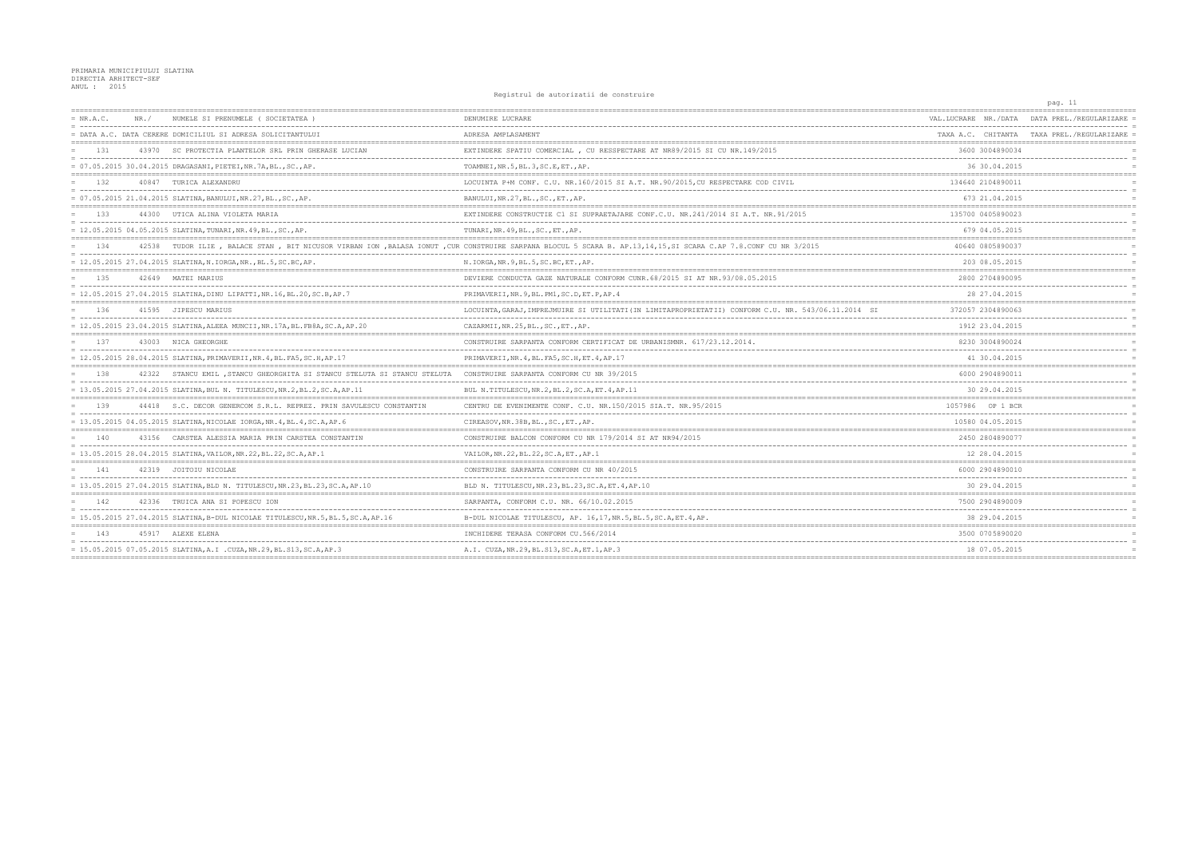Registrul de autorizatii de construire

|           |                                                                                   |                                                                                                                                                               |                      | pag. 11                                    |
|-----------|-----------------------------------------------------------------------------------|---------------------------------------------------------------------------------------------------------------------------------------------------------------|----------------------|--------------------------------------------|
| = NR.A.C. | NUMELE SI PRENUMELE ( SOCIETATEA<br>NR. /                                         | DENUMIRE LUCRARE                                                                                                                                              | VAL.LUCRARE NR./DATA | DATA PREL./REGULARIZARE                    |
|           | = DATA A.C. DATA CERERE DOMICILIUL SI ADRESA SOLICITANTULUI                       | ADRESA AMPLASAMENT                                                                                                                                            |                      | TAXA A.C. CHITANTA TAXA PREL./REGULARIZARE |
| 131       | 43970 SC PROTECTIA PLANTELOR SRL PRIN GHERASE LUCIAN                              | EXTINDERE SPATIU COMERCIAL, CU RESSPECTARE AT NR89/2015 SI CU NR.149/2015                                                                                     | 3600 3004890034      |                                            |
|           | = 07.05.2015 30.04.2015 DRAGASANI, PIETEI, NR.7A, BL., SC., AP.                   | TOAMNEI, NR.5, BL.3, SC.E, ET., AP.                                                                                                                           | 36 30.04.2015        |                                            |
| $-1.32$   | 40847 TURICA ALEXANDRU                                                            | LOCUINTA P+M CONF. C.U. NR.160/2015 SI A.T. NR.90/2015, CU RESPECTARE COD CIVIL                                                                               | 134640 2104890011    |                                            |
|           | = 07.05.2015 21.04.2015 SLATINA, BANULUI, NR.27, BL., SC., AP.                    | BANULUI, NR. 27, BL., SC., ET., AP.                                                                                                                           | 673 21.04.2015       |                                            |
| 133       | 44300 UTICA ALINA VIOLETA MARIA                                                   | EXTINDERE CONSTRUCTIE C1 SI SUPRAETAJARE CONF.C.U. NR.241/2014 SI A.T. NR.91/2015                                                                             | 135700 0405890023    |                                            |
|           | = 12.05.2015 04.05.2015 SLATINA,TUNARI,NR.49,BL.,SC.,AP.                          | TUNARI, NR. 49, BL., SC., ET., AP.                                                                                                                            | 679 04.05.2015       |                                            |
| 134       |                                                                                   | 42538 TUDOR ILIE, BALACE STAN, BIT NICUSOR VIRBAN ION, BALASA IONUT, CUR CONSTRUIRE SARPANA BLOCUL 5 SCARA B. AP.13,14,15,SI SCARA C.AP 7.8.CONF CU NR 3/2015 | 40640 0805890037     |                                            |
|           | = 12.05.2015 27.04.2015 SLATINA, N.IORGA, NR., BL.5, SC.BC, AP.                   | N. IORGA, NR. 9, BL. 5, SC. BC, ET., AP.                                                                                                                      | 203 08.05.2015       |                                            |
| 135       | 42649 MATEI MARIUS                                                                | DEVIERE CONDUCTA GAZE NATURALE CONFORM CUNR. 68/2015 SI AT NR. 93/08.05.2015                                                                                  | 2800 2704890095      |                                            |
|           | = 12.05.2015 27.04.2015 SLATINA, DINU LIPATTI, NR.16, BL.20, SC.B, AP.7           | PRIMAVERII, NR. 9, BL. PM1, SC. D, ET. P, AP. 4                                                                                                               | 28 27.04.2015        |                                            |
| 136       | 41595 JIPESCU MARIUS                                                              | LOCUINTA, GARAJ, IMPREJMUIRE SI UTILITATI (IN LIMITAPROPRIETATII) CONFORM C.U. NR. 543/06.11.2014 SI                                                          | 372057 2304890063    |                                            |
|           | = 12.05.2015 23.04.2015 SLATINA, ALEEA MUNCII, NR.17A, BL.FB8A, SC.A, AP.20       | CAZARMII, NR. 25, BL., SC., ET., AP.                                                                                                                          | 1912 23.04.2015      |                                            |
| 1.37      | 43003 NICA GHEORGHE                                                               | CONSTRUIRE SARPANTA CONFORM CERTIFICAT DE URBANISMNR. 617/23.12.2014.                                                                                         | 8230 3004890024      |                                            |
|           | = 12.05.2015 28.04.2015 SLATINA, PRIMAVERII, NR.4, BL.FA5, SC.H, AP.17            | PRIMAVERII, NR. 4, BL. FA5, SC. H, ET. 4, AP. 17                                                                                                              | 41 30.04.2015        |                                            |
| 138       | 42322 STANCU EMIL, STANCU GHEORGHITA SI STANCU STELUTA SI STANCU STELUTA          | CONSTRUIRE SARPANTA CONFORM CU NR 39/2015                                                                                                                     | 6000 2904890011      |                                            |
|           | = 13.05.2015 27.04.2015 SLATINA, BUL N. TITULESCU, NR.2, BL.2, SC.A, AP.11        | BUL N.TITULESCU, NR.2, BL.2, SC.A, ET.4, AP.11                                                                                                                | 30 29.04.2015        |                                            |
| 139       | 44418 S.C. DECOR GENERCOM S.R.L. REPREZ. PRIN SAVULESCU CONSTANTIN                | CENTRU DE EVENIMENTE CONF. C.U. NR.150/2015 SIA.T. NR.95/2015                                                                                                 | 1057986 OP 1 BCR     |                                            |
|           | = 13.05.2015 04.05.2015 SLATINA, NICOLAE IORGA, NR.4, BL.4, SC.A, AP.6            | CIREASOV, NR. 38B, BL., SC., ET., AP.                                                                                                                         | 10580 04.05.2015     |                                            |
| 140       | 43156 CARSTEA ALESSIA MARIA PRIN CARSTEA CONSTANTIN                               | CONSTRUIRE BALCON CONFORM CU NR 179/2014 SI AT NR94/2015                                                                                                      | 2450 2804890077      |                                            |
|           | $= 13.05.2015 28.04.2015 SLATINA, VAILOR, NR.22, BL.22, SC.A, AP.1$               | VAILOR, NR. 22, BL. 22, SC. A, ET., AP. 1                                                                                                                     | 12 28.04.2015        |                                            |
| 141       | 42319 JOITOIU NICOLAE                                                             | CONSTRUIRE SARPANTA CONFORM CU NR 40/2015                                                                                                                     | 6000 2904890010      |                                            |
|           | = 13.05.2015 27.04.2015 SLATINA, BLD N. TITULESCU, NR.23, BL.23, SC.A, AP.10      | BLD N. TITULESCU, NR. 23, BL. 23, SC. A, ET. 4, AP. 10                                                                                                        | 30 29.04.2015        |                                            |
| 142       | 42336 TRUICA ANA SI POPESCU ION                                                   | SARPANTA, CONFORM C.U. NR. 66/10.02.2015                                                                                                                      | 7500 2904890009      |                                            |
|           | = 15.05.2015 27.04.2015 SLATINA, B-DUL NICOLAE TITULESCU, NR.5, BL.5, SC.A, AP.16 | B-DUL NICOLAE TITULESCU, AP. 16, 17, NR. 5, BL. 5, SC. A, ET. 4, AP.                                                                                          | 38 29.04.2015        |                                            |
| 143       | 45917 ALEXE ELENA                                                                 | INCHIDERE TERASA CONFORM CU.566/2014                                                                                                                          | 3500 0705890020      |                                            |
|           | = 15.05.2015 07.05.2015 SLATINA, A.I.CUZA, NR.29, BL.S13, SC.A, AP.3              | A.I. CUZA, NR.29, BL.S13, SC.A, ET.1, AP.3                                                                                                                    | 18 07.05.2015        |                                            |
|           |                                                                                   |                                                                                                                                                               |                      |                                            |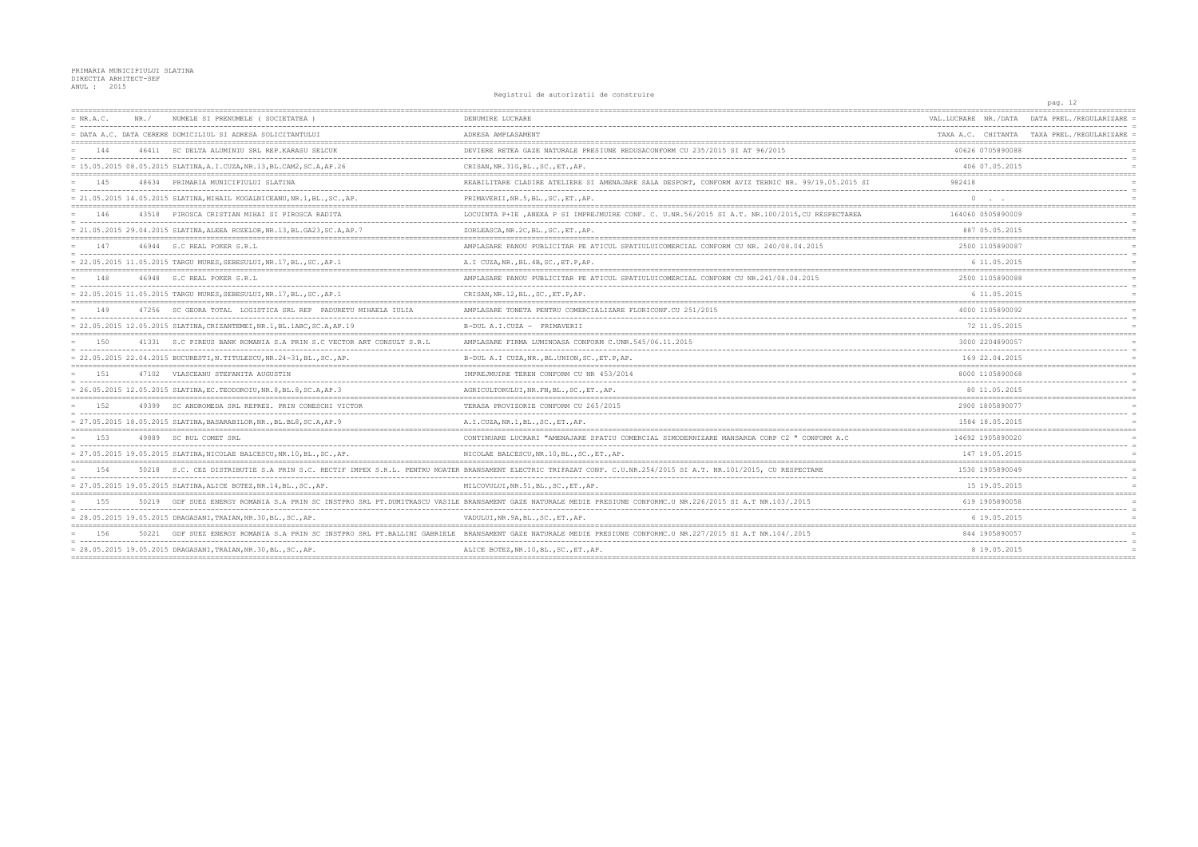Registrul de autorizatii de construire

|             |       |                                                                            |                                                                                                                                                                  |                      | pag. iz                                    |
|-------------|-------|----------------------------------------------------------------------------|------------------------------------------------------------------------------------------------------------------------------------------------------------------|----------------------|--------------------------------------------|
| $= NR.A.C.$ | NR. / | NUMELE SI PRENUMELE (SOCIETATEA)                                           | DENUMIRE LUCRARE                                                                                                                                                 | VAL.LUCRARE NR./DATA | DATA PREL./REGULARIZARE                    |
|             |       | = DATA A.C. DATA CERERE DOMICILIUL SI ADRESA SOLICITANTULUI                | ADRESA AMPLASAMENT                                                                                                                                               |                      | TAXA A.C. CHITANTA TAXA PREL./REGULARIZARE |
| 144         |       | 46411 SC DELTA ALUMINIU SRL REP. KARASU SELCUK                             | DEVIERE RETEA GAZE NATURALE PRESIUNE REDUSACONFORM CU 235/2015 SI AT 96/2015                                                                                     | 40626 0705890088     |                                            |
|             |       | = 15.05.2015 08.05.2015 SLATINA, A.I.CUZA, NR.13, BL.CAM2, SC.A, AP.26     | CRISAN, NR. 31G, BL., SC., ET., AP.                                                                                                                              | 406 07.05.2015       |                                            |
| 145         |       | 48634 PRIMARIA MUNICIPIULUI SLATINA                                        | REABILITARE CLADIRE ATELIERE SI AMENAJARE SALA DESPORT, CONFORM AVIZ TEHNIC NR. 99/19.05.2015 SI                                                                 | 982418               |                                            |
|             |       | = 21.05.2015 14.05.2015 SLATINA, MIHAIL KOGALNICEANU, NR.1, BL., SC., AP.  | PRIMAVERII, NR.5, BL., SC., ET., AP.                                                                                                                             | $\circ$              |                                            |
| 146         |       | 43518 PIROSCA CRISTIAN MIHAI SI PIROSCA RADITA                             | LOCUINTA P+IE , ANEXA P SI IMPREJMUIRE CONF. C. U.NR.56/2015 SI A.T. NR.100/2015, CU RESPECTAREA                                                                 | 164060 0505890009    |                                            |
|             |       | = 21.05.2015 29.04.2015 SLATINA, ALEEA ROZELOR, NR.13, BL.GA23, SC.A, AP.7 | ZORLEASCA, NR. 2C, BL., SC., ET., AP.                                                                                                                            | 887 05.05.2015       |                                            |
| 147         |       | 46944 S.C REAL POKER S.R.L                                                 | AMPLASARE PANOU PUBLICITAR PE ATICUL SPATIULUICOMERCIAL CONFORM CU NR. 240/08.04.2015                                                                            | 2500 1105890087      |                                            |
|             |       | = 22.05.2015 11.05.2015 TARGU MURES, SEBESULUI, NR.17, BL., SC., AP.1      | A.I CUZA, NR., BL. 4B, SC., ET. P, AP.                                                                                                                           | 6 11.05.2015         |                                            |
| 148         |       | 46948 S.C REAL POKER S.R.L                                                 | AMPLASARE PANOU PUBLICITAR PE ATICUL SPATIULUICOMERCIAL CONFORM CU NR.241/08.04.2015                                                                             | 2500 1105890088      |                                            |
|             |       | = 22.05.2015 11.05.2015 TARGU MURES, SEBESULUI, NR.17, BL., SC., AP.1      | CRISAN, NR.12, BL., SC., ET.P, AP.                                                                                                                               | 6 11.05.2015         |                                            |
| 149         |       | 47256 SC GEORA TOTAL LOGISTICA SRL REP PADURETU MIHAELA IULIA              | AMPLASARE TONETA PENTRU COMERCIALIZARE FLORICONF.CU 251/2015                                                                                                     | 4000 1105890092      |                                            |
|             |       | = 22.05.2015 12.05.2015 SLATINA.CRIZANTEMEI.NR.1.BL.1ABC.SC.A.AP.19        | B-DUL A.I.CUZA - PRIMAVERII                                                                                                                                      | 72 11.05.2015        |                                            |
| 1.50        |       | 41331 S.C PIREUS BANK ROMANIA S.A PRIN S.C VECTOR ART CONSULT S.R.L        | AMPLASARE FIRMA LUMINOASA CONFORM C.UNR.545/06.11.2015                                                                                                           | 3000 2204890057      |                                            |
|             |       | = 22.05.2015 22.04.2015 BUCURESTI, N.TITULESCU, NR.24-31, BL., SC., AP.    | B-DUL A.I CUZA, NR., BL. UNION, SC., ET. P, AP.                                                                                                                  | 169 22.04.2015       |                                            |
| 151         |       | 47102 VLASCEANU STEFANITA AUGUSTIN                                         | IMPREJMUIRE TEREN CONFORM CU NR 453/2014                                                                                                                         | 8000 1105890068      |                                            |
|             |       | = 26.05.2015 12.05.2015 SLATINA, EC. TEODOROIU, NR. 8, BL. 8, SC. A, AP. 3 | AGRICULTORULUI, NR. FN, BL., SC., ET., AP.                                                                                                                       | 80 11.05.2015        |                                            |
| 152         |       | 49399 SC ANDROMEDA SRL REPREZ. PRIN CONESCHI VICTOR                        | TERASA PROVIZORIE CONFORM CU 265/2015                                                                                                                            | 2900 1805890077      |                                            |
|             |       | = 27.05.2015 18.05.2015 SLATINA, BASARABILOR, NR., BL. BL8, SC. A, AP. 9   | A.I.CUZA, NR.1, BL., SC., ET., AP.                                                                                                                               | 1584 18.05.2015      |                                            |
| 1.53        |       | 49889 SC RUL COMET SRL                                                     | CONTINUARE LUCRARI "AMENAJARE SPATIU COMERCIAL SIMODERNIZARE MANSARDA CORP C2 " CONFORM A.C                                                                      | 14692 1905890020     |                                            |
|             |       | = 27.05.2015 19.05.2015 SLATINA, NICOLAE BALCESCU, NR.10, BL., SC., AP.    | NICOLAE BALCESCU, NR.10, BL., SC., ET., AP.                                                                                                                      | 147 19.05.2015       |                                            |
| 154         |       |                                                                            | 50218 S.C. CEZ DISTRIBUTIE S.A PRIN S.C. RECTIF IMPEX S.R.L. PENTRU MOATER BRANSAMENT ELECTRIC TRIFAZAT CONF. C.U.NR.254/2015 SI A.T. NR.101/2015, CU RESPECTARE | 1530 1905890049      |                                            |
|             |       | = 27.05.2015 19.05.2015 SLATINA, ALICE BOTEZ, NR.14, BL., SC., AP.         | MILCOVULUI, NR.51, BL., SC., ET., AP.                                                                                                                            | 15 19.05.2015        |                                            |
| 155         |       |                                                                            | 50219 GDF SUEZ ENERGY ROMANIA S.A PRIN SC INSTPRO SRL PT.DUMITRASCU VASILE BRANSAMENT GAZE NATURALE MEDIE PRESIUNE CONFORMC.U NR.226/2015 SI A.T NR.103/.2015    | 619 1905890058       |                                            |
|             |       | = 28.05.2015 19.05.2015 DRAGASANI, TRAIAN, NR.30, BL., SC., AP.            | VADULUI, NR. 9A, BL., SC., ET., AP.                                                                                                                              | 6 19.05.2015         |                                            |
| 156         |       |                                                                            | 50221 GDF SUEZ ENERGY ROMANIA S.A PRIN SC INSTPRO SRL PT.BALLINI GABRIELE BRANSAMENT GAZE NATURALE MEDIE PRESIUNE CONFORMC.U NR.227/2015 SI A.T NR.104/.2015     | 844 1905890057       |                                            |
|             |       | $= 28.05.2015 19.05.2015 DRAGASANI, TRAIAN, NR.30, BL., SC., AP.$          | ALICE BOTEZ, NR.10, BL., SC., ET., AP.                                                                                                                           | 8 19.05.2015         |                                            |
|             |       |                                                                            |                                                                                                                                                                  |                      |                                            |

 $\sim$  12